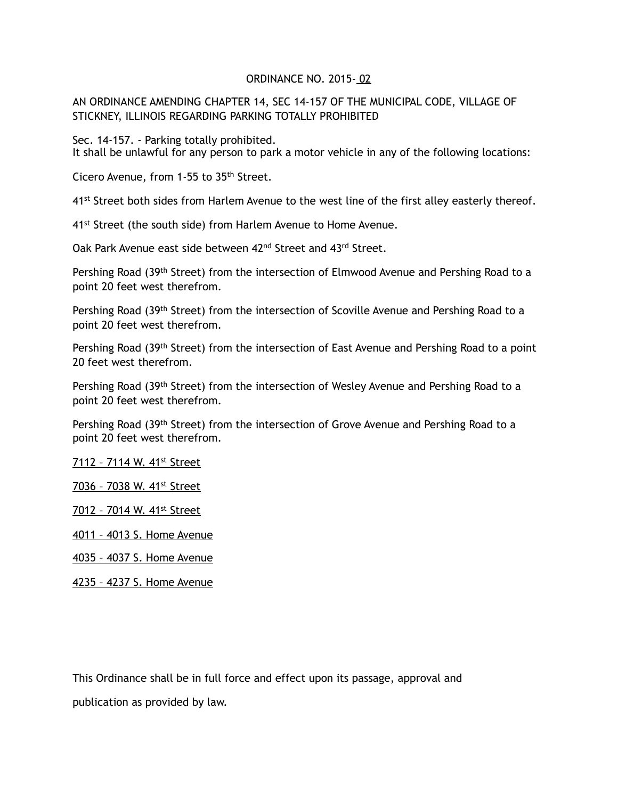## ORDINANCE NO. 2015- 02

## AN ORDINANCE AMENDING CHAPTER 14, SEC 14-157 OF THE MUNICIPAL CODE, VILLAGE OF STICKNEY, ILLINOIS REGARDING PARKING TOTALLY PROHIBITED

Sec. 14-157. - Parking totally prohibited. It shall be unlawful for any person to park a motor vehicle in any of the following locations:

Cicero Avenue, from 1-55 to 35th Street.

41<sup>st</sup> Street both sides from Harlem Avenue to the west line of the first alley easterly thereof.

41<sup>st</sup> Street (the south side) from Harlem Avenue to Home Avenue.

Oak Park Avenue east side between 42<sup>nd</sup> Street and 43<sup>rd</sup> Street.

Pershing Road (39<sup>th</sup> Street) from the intersection of Elmwood Avenue and Pershing Road to a point 20 feet west therefrom.

Pershing Road (39<sup>th</sup> Street) from the intersection of Scoville Avenue and Pershing Road to a point 20 feet west therefrom.

Pershing Road (39<sup>th</sup> Street) from the intersection of East Avenue and Pershing Road to a point 20 feet west therefrom.

Pershing Road (39<sup>th</sup> Street) from the intersection of Wesley Avenue and Pershing Road to a point 20 feet west therefrom.

Pershing Road (39<sup>th</sup> Street) from the intersection of Grove Avenue and Pershing Road to a point 20 feet west therefrom.

7112 – 7114 W. 41st Street

7036 - 7038 W. 41<sup>st</sup> Street

7012 - 7014 W. 41st Street

4011 – 4013 S. Home Avenue

4035 – 4037 S. Home Avenue

4235 – 4237 S. Home Avenue

This Ordinance shall be in full force and effect upon its passage, approval and publication as provided by law.